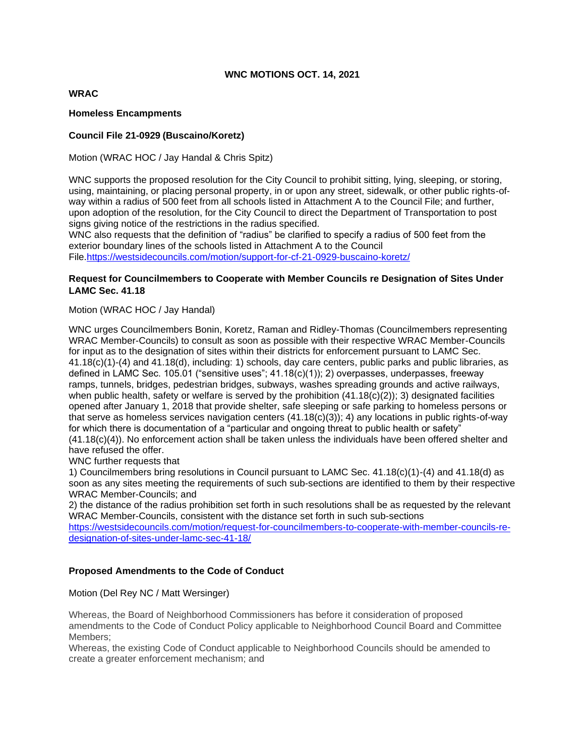## **WNC MOTIONS OCT. 14, 2021**

# **WRAC**

### **Homeless Encampments**

## **Council File 21-0929 (Buscaino/Koretz)**

Motion (WRAC HOC / Jay Handal & Chris Spitz)

WNC supports the proposed resolution for the City Council to prohibit sitting, lying, sleeping, or storing, using, maintaining, or placing personal property, in or upon any street, sidewalk, or other public rights-ofway within a radius of 500 feet from all schools listed in Attachment A to the Council File; and further, upon adoption of the resolution, for the City Council to direct the Department of Transportation to post signs giving notice of the restrictions in the radius specified.

WNC also requests that the definition of "radius" be clarified to specify a radius of 500 feet from the exterior boundary lines of the schools listed in Attachment A to the Council File[.https://westsidecouncils.com/motion/support-for-cf-21-0929-buscaino-koretz/](https://westsidecouncils.com/motion/support-for-cf-21-0929-buscaino-koretz/)

## **Request for Councilmembers to Cooperate with Member Councils re Designation of Sites Under LAMC Sec. 41.18**

Motion (WRAC HOC / Jay Handal)

WNC urges Councilmembers Bonin, Koretz, Raman and Ridley-Thomas (Councilmembers representing WRAC Member-Councils) to consult as soon as possible with their respective WRAC Member-Councils for input as to the designation of sites within their districts for enforcement pursuant to LAMC Sec. 41.18(c)(1)-(4) and 41.18(d), including: 1) schools, day care centers, public parks and public libraries, as defined in LAMC Sec. 105.01 ("sensitive uses"; 41.18(c)(1)); 2) overpasses, underpasses, freeway ramps, tunnels, bridges, pedestrian bridges, subways, washes spreading grounds and active railways, when public health, safety or welfare is served by the prohibition  $(41.18(c)(2))$ ; 3) designated facilities opened after January 1, 2018 that provide shelter, safe sleeping or safe parking to homeless persons or that serve as homeless services navigation centers (41.18(c)(3)); 4) any locations in public rights-of-way for which there is documentation of a "particular and ongoing threat to public health or safety" (41.18(c)(4)). No enforcement action shall be taken unless the individuals have been offered shelter and have refused the offer.

WNC further requests that

1) Councilmembers bring resolutions in Council pursuant to LAMC Sec. 41.18(c)(1)-(4) and 41.18(d) as soon as any sites meeting the requirements of such sub-sections are identified to them by their respective WRAC Member-Councils; and

2) the distance of the radius prohibition set forth in such resolutions shall be as requested by the relevant WRAC Member-Councils, consistent with the distance set forth in such sub-sections

[https://westsidecouncils.com/motion/request-for-councilmembers-to-cooperate-with-member-councils-re](https://westsidecouncils.com/motion/request-for-councilmembers-to-cooperate-with-member-councils-re-designation-of-sites-under-lamc-sec-41-18/)[designation-of-sites-under-lamc-sec-41-18/](https://westsidecouncils.com/motion/request-for-councilmembers-to-cooperate-with-member-councils-re-designation-of-sites-under-lamc-sec-41-18/)

# **Proposed Amendments to the Code of Conduct**

Motion (Del Rey NC / Matt Wersinger)

Whereas, the Board of Neighborhood Commissioners has before it consideration of proposed amendments to the Code of Conduct Policy applicable to Neighborhood Council Board and Committee Members;

Whereas, the existing Code of Conduct applicable to Neighborhood Councils should be amended to create a greater enforcement mechanism; and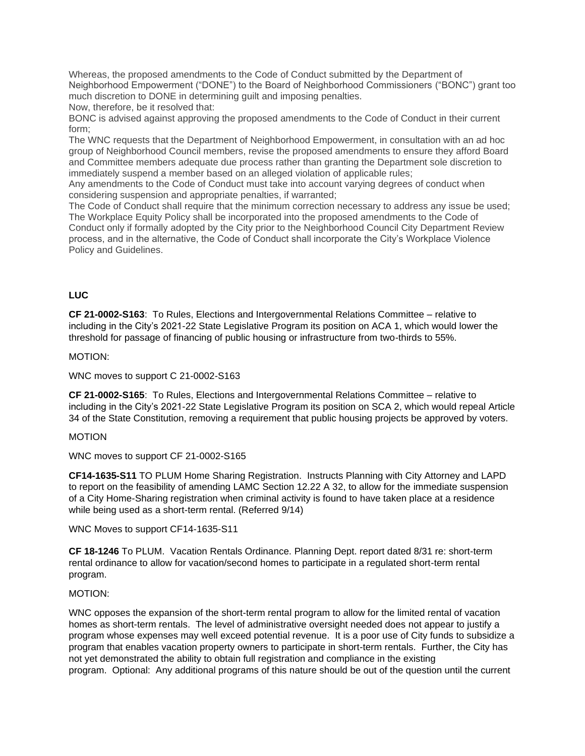Whereas, the proposed amendments to the Code of Conduct submitted by the Department of Neighborhood Empowerment ("DONE") to the Board of Neighborhood Commissioners ("BONC") grant too much discretion to DONE in determining guilt and imposing penalties. Now, therefore, be it resolved that:

BONC is advised against approving the proposed amendments to the Code of Conduct in their current form;

The WNC requests that the Department of Neighborhood Empowerment, in consultation with an ad hoc group of Neighborhood Council members, revise the proposed amendments to ensure they afford Board and Committee members adequate due process rather than granting the Department sole discretion to immediately suspend a member based on an alleged violation of applicable rules;

Any amendments to the Code of Conduct must take into account varying degrees of conduct when considering suspension and appropriate penalties, if warranted;

The Code of Conduct shall require that the minimum correction necessary to address any issue be used; The Workplace Equity Policy shall be incorporated into the proposed amendments to the Code of Conduct only if formally adopted by the City prior to the Neighborhood Council City Department Review process, and in the alternative, the Code of Conduct shall incorporate the City's Workplace Violence Policy and Guidelines.

## **LUC**

**CF 21-0002-S163**: To Rules, Elections and Intergovernmental Relations Committee – relative to including in the City's 2021-22 State Legislative Program its position on ACA 1, which would lower the threshold for passage of financing of public housing or infrastructure from two-thirds to 55%.

#### MOTION:

WNC moves to support C 21-0002-S163

**CF 21-0002-S165**: To Rules, Elections and Intergovernmental Relations Committee – relative to including in the City's 2021-22 State Legislative Program its position on SCA 2, which would repeal Article 34 of the State Constitution, removing a requirement that public housing projects be approved by voters.

#### MOTION

WNC moves to support CF 21-0002-S165

**CF14-1635-S11** TO PLUM Home Sharing Registration. Instructs Planning with City Attorney and LAPD to report on the feasibility of amending LAMC Section 12.22 A 32, to allow for the immediate suspension of a City Home-Sharing registration when criminal activity is found to have taken place at a residence while being used as a short-term rental. (Referred 9/14)

WNC Moves to support CF14-1635-S11

**CF 18-1246** To PLUM. Vacation Rentals Ordinance. Planning Dept. report dated 8/31 re: short-term rental ordinance to allow for vacation/second homes to participate in a regulated short-term rental program.

#### MOTION:

WNC opposes the expansion of the short-term rental program to allow for the limited rental of vacation homes as short-term rentals. The level of administrative oversight needed does not appear to justify a program whose expenses may well exceed potential revenue. It is a poor use of City funds to subsidize a program that enables vacation property owners to participate in short-term rentals. Further, the City has not yet demonstrated the ability to obtain full registration and compliance in the existing program. Optional: Any additional programs of this nature should be out of the question until the current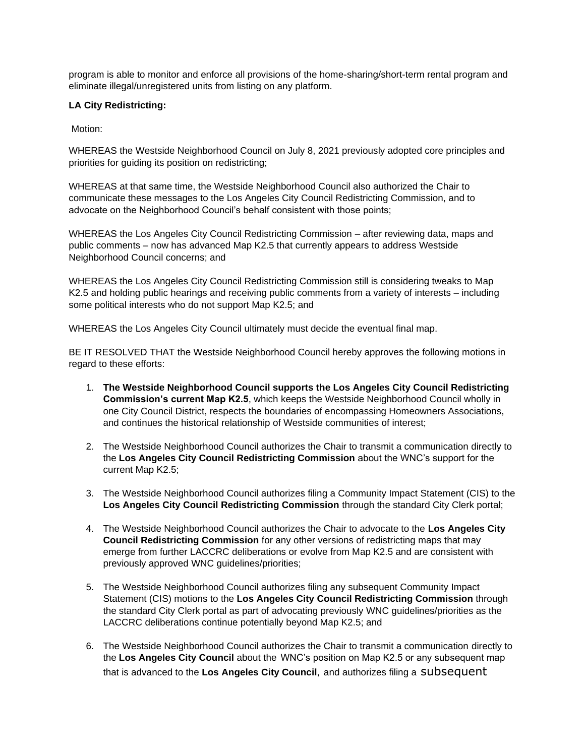program is able to monitor and enforce all provisions of the home-sharing/short-term rental program and eliminate illegal/unregistered units from listing on any platform.

## **LA City Redistricting:**

Motion:

WHEREAS the Westside Neighborhood Council on July 8, 2021 previously adopted core principles and priorities for guiding its position on redistricting;

WHEREAS at that same time, the Westside Neighborhood Council also authorized the Chair to communicate these messages to the Los Angeles City Council Redistricting Commission, and to advocate on the Neighborhood Council's behalf consistent with those points;

WHEREAS the Los Angeles City Council Redistricting Commission – after reviewing data, maps and public comments – now has advanced Map K2.5 that currently appears to address Westside Neighborhood Council concerns; and

WHEREAS the Los Angeles City Council Redistricting Commission still is considering tweaks to Map K2.5 and holding public hearings and receiving public comments from a variety of interests – including some political interests who do not support Map K2.5; and

WHEREAS the Los Angeles City Council ultimately must decide the eventual final map.

BE IT RESOLVED THAT the Westside Neighborhood Council hereby approves the following motions in regard to these efforts:

- 1. **The Westside Neighborhood Council supports the Los Angeles City Council Redistricting Commission's current Map K2.5**, which keeps the Westside Neighborhood Council wholly in one City Council District, respects the boundaries of encompassing Homeowners Associations, and continues the historical relationship of Westside communities of interest;
- 2. The Westside Neighborhood Council authorizes the Chair to transmit a communication directly to the **Los Angeles City Council Redistricting Commission** about the WNC's support for the current Map K2.5;
- 3. The Westside Neighborhood Council authorizes filing a Community Impact Statement (CIS) to the **Los Angeles City Council Redistricting Commission** through the standard City Clerk portal;
- 4. The Westside Neighborhood Council authorizes the Chair to advocate to the **Los Angeles City Council Redistricting Commission** for any other versions of redistricting maps that may emerge from further LACCRC deliberations or evolve from Map K2.5 and are consistent with previously approved WNC guidelines/priorities;
- 5. The Westside Neighborhood Council authorizes filing any subsequent Community Impact Statement (CIS) motions to the **Los Angeles City Council Redistricting Commission** through the standard City Clerk portal as part of advocating previously WNC guidelines/priorities as the LACCRC deliberations continue potentially beyond Map K2.5; and
- 6. The Westside Neighborhood Council authorizes the Chair to transmit a communication directly to the **Los Angeles City Council** about the WNC's position on Map K2.5 or any subsequent map that is advanced to the **Los Angeles City Council**, and authorizes filing a subsequent